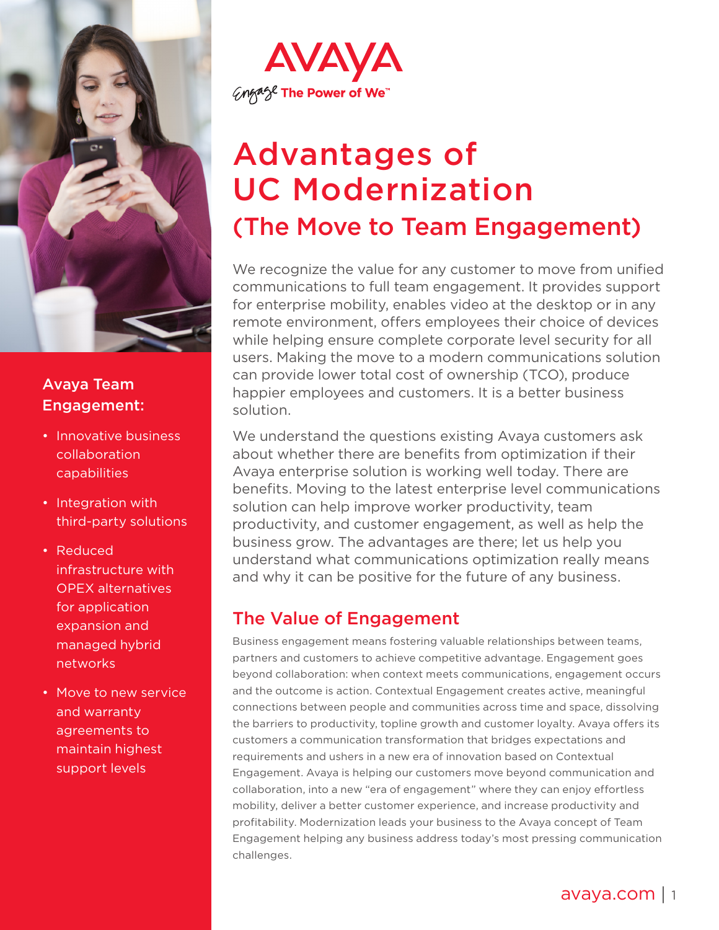

## Avaya Team Engagement:

- Innovative business collaboration capabilities
- Integration with third-party solutions
- Reduced infrastructure with OPEX alternatives for application expansion and managed hybrid networks
- Move to new service and warranty agreements to maintain highest support levels



# Advantages of UC Modernization (The Move to Team Engagement)

We recognize the value for any customer to move from unified communications to full team engagement. It provides support for enterprise mobility, enables video at the desktop or in any remote environment, offers employees their choice of devices while helping ensure complete corporate level security for all users. Making the move to a modern communications solution can provide lower total cost of ownership (TCO), produce happier employees and customers. It is a better business solution.

We understand the questions existing Avaya customers ask about whether there are benefits from optimization if their Avaya enterprise solution is working well today. There are benefits. Moving to the latest enterprise level communications solution can help improve worker productivity, team productivity, and customer engagement, as well as help the business grow. The advantages are there; let us help you understand what communications optimization really means and why it can be positive for the future of any business.

# The Value of Engagement

Business engagement means fostering valuable relationships between teams, partners and customers to achieve competitive advantage. Engagement goes beyond collaboration: when context meets communications, engagement occurs and the outcome is action. Contextual Engagement creates active, meaningful connections between people and communities across time and space, dissolving the barriers to productivity, topline growth and customer loyalty. Avaya offers its customers a communication transformation that bridges expectations and requirements and ushers in a new era of innovation based on Contextual Engagement. Avaya is helping our customers move beyond communication and collaboration, into a new "era of engagement" where they can enjoy effortless mobility, deliver a better customer experience, and increase productivity and profitability. Modernization leads your business to the Avaya concept of Team Engagement helping any business address today's most pressing communication challenges.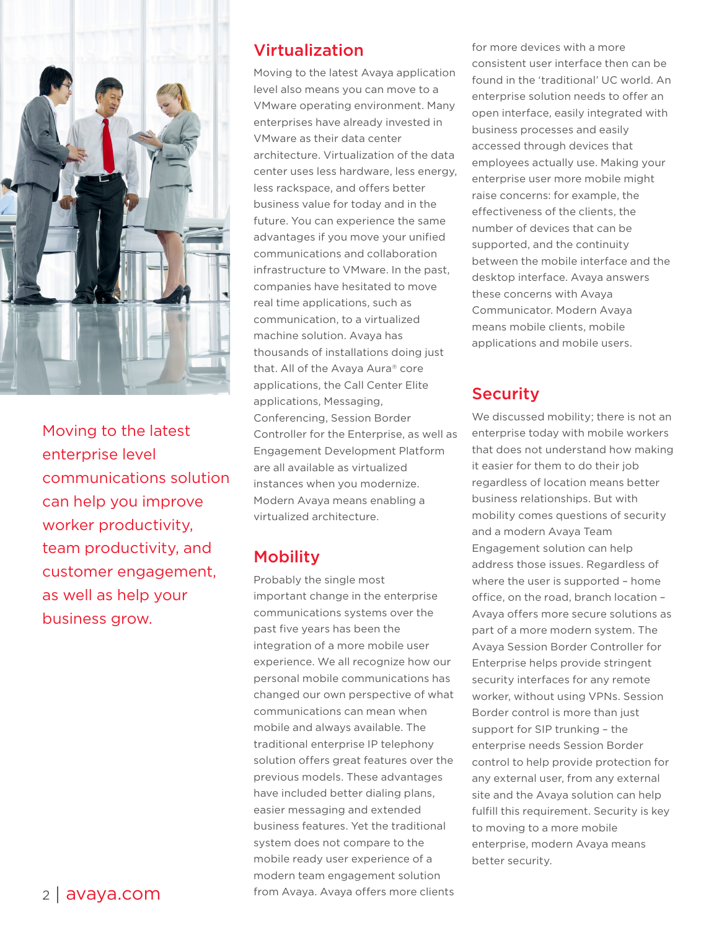

Moving to the latest enterprise level communications solution can help you improve worker productivity, team productivity, and customer engagement, as well as help your business grow.

#### Virtualization

Moving to the latest Avaya application level also means you can move to a VMware operating environment. Many enterprises have already invested in VMware as their data center architecture. Virtualization of the data center uses less hardware, less energy, less rackspace, and offers better business value for today and in the future. You can experience the same advantages if you move your unified communications and collaboration infrastructure to VMware. In the past, companies have hesitated to move real time applications, such as communication, to a virtualized machine solution. Avaya has thousands of installations doing just that. All of the Avaya Aura® core applications, the Call Center Elite applications, Messaging, Conferencing, Session Border Controller for the Enterprise, as well as Engagement Development Platform are all available as virtualized instances when you modernize. Modern Avaya means enabling a virtualized architecture.

# **Mobility**

Probably the single most important change in the enterprise communications systems over the past five years has been the integration of a more mobile user experience. We all recognize how our personal mobile communications has changed our own perspective of what communications can mean when mobile and always available. The traditional enterprise IP telephony solution offers great features over the previous models. These advantages have included better dialing plans, easier messaging and extended business features. Yet the traditional system does not compare to the mobile ready user experience of a modern team engagement solution from Avaya. Avaya offers more clients for more devices with a more consistent user interface then can be found in the 'traditional' UC world. An enterprise solution needs to offer an open interface, easily integrated with business processes and easily accessed through devices that employees actually use. Making your enterprise user more mobile might raise concerns: for example, the effectiveness of the clients, the number of devices that can be supported, and the continuity between the mobile interface and the desktop interface. Avaya answers these concerns with Avaya Communicator. Modern Avaya means mobile clients, mobile applications and mobile users.

## **Security**

We discussed mobility; there is not an enterprise today with mobile workers that does not understand how making it easier for them to do their job regardless of location means better business relationships. But with mobility comes questions of security and a modern Avaya Team Engagement solution can help address those issues. Regardless of where the user is supported – home office, on the road, branch location – Avaya offers more secure solutions as part of a more modern system. The Avaya Session Border Controller for Enterprise helps provide stringent security interfaces for any remote worker, without using VPNs. Session Border control is more than just support for SIP trunking – the enterprise needs Session Border control to help provide protection for any external user, from any external site and the Avaya solution can help fulfill this requirement. Security is key to moving to a more mobile enterprise, modern Avaya means better security.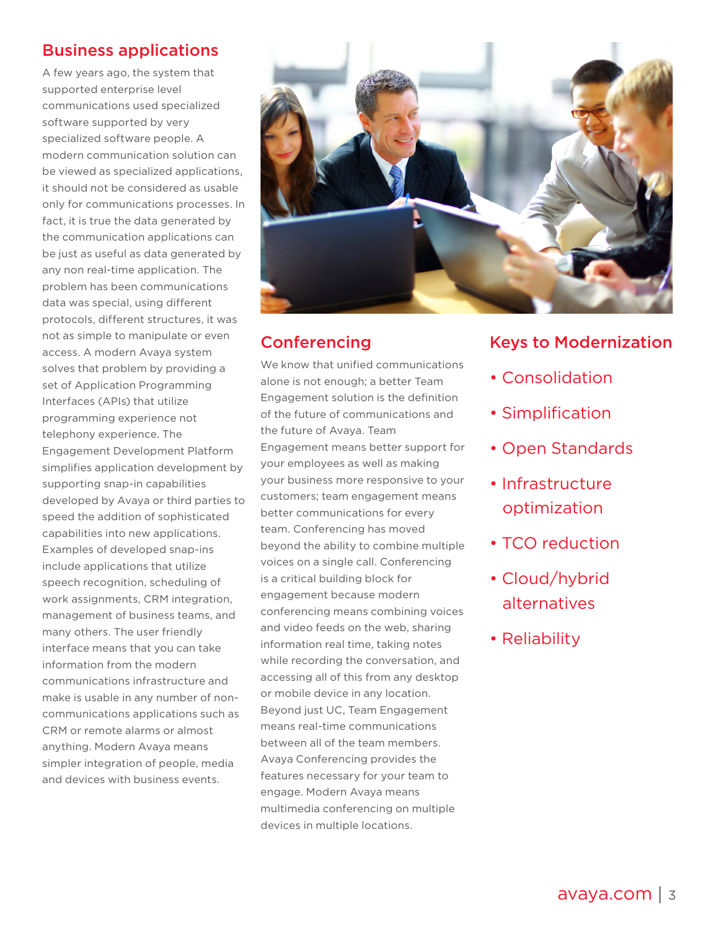# Business applications

A few years ago, the system that supported enterprise level communications used specialized software supported by very specialized software people. A modern communication solution can be viewed as specialized applications, it should not be considered as usable only for communications processes. In fact, it is true the data generated by the communication applications can be just as useful as data generated by any non real-time application. The problem has been communications data was special, using different protocols, different structures, it was not as simple to manipulate or even access. A modern Avaya system solves that problem by providing a set of Application Programming Interfaces (APIs) that utilize programming experience not telephony experience. The Engagement Development Platform simplifies application development by supporting snap-in capabilities developed by Avaya or third parties to speed the addition of sophisticated capabilities into new applications. Examples of developed snap-ins include applications that utilize speech recognition, scheduling of work assignments, CRM integration, management of business teams, and many others. The user friendly interface means that you can take information from the modern communications infrastructure and make is usable in any number of noncommunications applications such as CRM or remote alarms or almost anything. Modern Avaya means simpler integration of people, media and devices with business events.



# **Conferencing**

We know that unified communications alone is not enough; a better Team Engagement solution is the definition of the future of communications and the future of Avaya. Team Engagement means better support for your employees as well as making your business more responsive to your customers; team engagement means better communications for every team. Conferencing has moved beyond the ability to combine multiple voices on a single call. Conferencing is a critical building block for engagement because modern conferencing means combining voices and video feeds on the web, sharing information real time, taking notes while recording the conversation, and accessing all of this from any desktop or mobile device in any location. Beyond just UC, Team Engagement means real-time communications between all of the team members. Avaya Conferencing provides the features necessary for your team to engage. Modern Avaya means multimedia conferencing on multiple devices in multiple locations.

#### Keys to Modernization

- Consolidation
- Simplification
- Open Standards
- Infrastructure optimization
- TCO reduction
- Cloud/hybrid alternatives
- Reliability